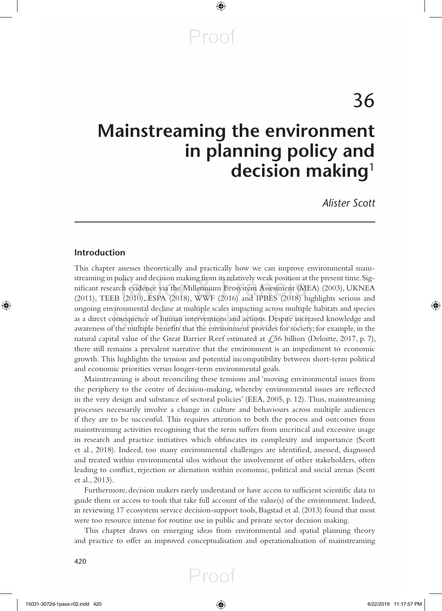## 36

### **Mainstreaming the environment in planning policy and**  decision making<sup>1</sup>

⊕

Proof

*Alister Scott* 

#### **Introduction**

↔

 This chapter assesses theoretically and practically how we can improve environmental mainstreaming in policy and decision making from its relatively weak position at the present time. Significant research evidence via the Millennium Ecosystem Assessment (MEA) (2003), UKNEA (2011), TEEB (2010), ESPA (2018), WWF (2016) and IPBES (2018) highlights serious and ongoing environmental decline at multiple scales impacting across multiple habitats and species as a direct consequence of human interventions and actions. Despite increased knowledge and awareness of the multiple benefits that the environment provides for society; for example, in the natural capital value of the Great Barrier Reef estimated at  $\angle$  56 billion (Deloitte, 2017, p. 7), there still remains a prevalent narrative that the environment is an impediment to economic growth. This highlights the tension and potential incompatibility between short-term political and economic priorities versus longer-term environmental goals.

 Mainstreaming is about reconciling these tensions and 'moving environmental issues from the periphery to the centre of decision-making, whereby environmental issues are reflected in the very design and substance of sectoral policies' ( EEA, 2005 , p. 12). Thus, mainstreaming processes necessarily involve a change in culture and behaviours across multiple audiences if they are to be successful. This requires attention to both the process and outcomes from mainstreaming activities recognising that the term suffers from uncritical and excessive usage in research and practice initiatives which obfuscates its complexity and importance (Scott et al., 2018). Indeed, too many environmental challenges are identified, assessed, diagnosed and treated within environmental silos without the involvement of other stakeholders, often leading to conflict, rejection or alienation within economic, political and social arenas (Scott et al., 2013).

Furthermore, decision makers rarely understand or have access to sufficient scientific data to guide them or access to tools that take full account of the value(s) of the environment. Indeed, in reviewing 17 ecosystem service decision-support tools, Bagstad et al. (2013 ) found that most were too resource intense for routine use in public and private sector decision making.

 This chapter draws on emerging ideas from environmental and spatial planning theory and practice to offer an improved conceptualisation and operationalisation of mainstreaming



420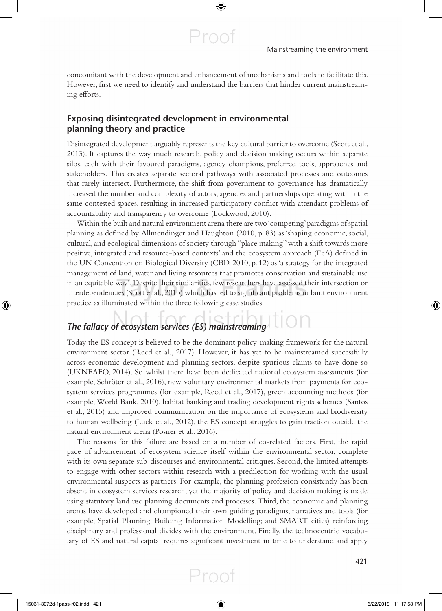concomitant with the development and enhancement of mechanisms and tools to facilitate this. However, first we need to identify and understand the barriers that hinder current mainstreaming efforts.

⊕

Proof

#### **Exposing disintegrated development in environmental planning theory and practice**

Disintegrated development arguably represents the key cultural barrier to overcome (Scott et al., 2013 ). It captures the way much research, policy and decision making occurs within separate silos, each with their favoured paradigms, agency champions, preferred tools, approaches and stakeholders. This creates separate sectoral pathways with associated processes and outcomes that rarely intersect. Furthermore, the shift from government to governance has dramatically increased the number and complexity of actors, agencies and partnerships operating within the same contested spaces, resulting in increased participatory conflict with attendant problems of accountability and transparency to overcome (Lockwood, 2010).

 Within the built and natural environment arena there are two 'competing' paradigms of spatial planning as defined by Allmendinger and Haughton (2010, p. 83) as 'shaping economic, social, cultural, and ecological dimensions of society through "place making" with a shift towards more positive, integrated and resource-based contexts' and the ecosystem approach (EcA) defined in the UN Convention on Biological Diversity ( CBD, 2010 , p. 12) as 'a strategy for the integrated management of land, water and living resources that promotes conservation and sustainable use in an equitable way'. Despite their similarities, few researchers have assessed their intersection or interdependencies (Scott et al., 2013) which has led to significant problems in built environment practice as illuminated within the three following case studies.

## *The fallacy of ecosystem services (ES) mainstreaming*

 Today the ES concept is believed to be the dominant policy-making framework for the natural environment sector (Reed et al., 2017). However, it has yet to be mainstreamed successfully across economic development and planning sectors, despite spurious claims to have done so ( UKNEAFO, 2014 ). So whilst there have been dedicated national ecosystem assessments (for example, Schröter et al., 2016), new voluntary environmental markets from payments for ecosystem services programmes (for example, Reed et al., 2017 ), green accounting methods (for example, World Bank, 2010), habitat banking and trading development rights schemes (Santos et al., 2015 ) and improved communication on the importance of ecosystems and biodiversity to human wellbeing (Luck et al., 2012), the ES concept struggles to gain traction outside the natural environment arena (Posner et al., 2016).

 The reasons for this failure are based on a number of co-related factors. First, the rapid pace of advancement of ecosystem science itself within the environmental sector, complete with its own separate sub-discourses and environmental critiques. Second, the limited attempts to engage with other sectors within research with a predilection for working with the usual environmental suspects as partners. For example, the planning profession consistently has been absent in ecosystem services research; yet the majority of policy and decision making is made using statutory land use planning documents and processes. Third, the economic and planning arenas have developed and championed their own guiding paradigms, narratives and tools (for example, Spatial Planning; Building Information Modelling; and SMART cities) reinforcing disciplinary and professional divides with the environment. Finally, the technocentric vocabulary of ES and natural capital requires significant investment in time to understand and apply

Proof



⊕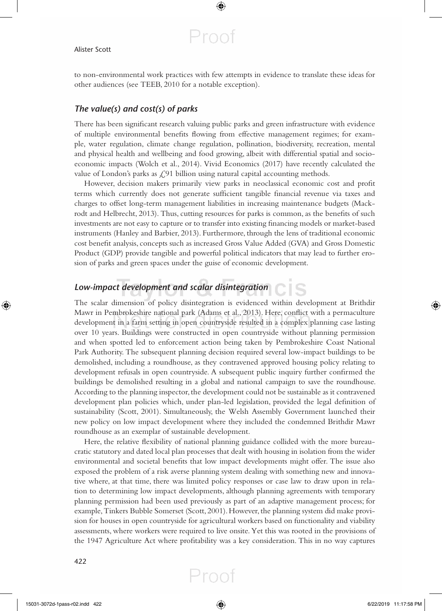⊕

#### Alister Scott

to non-environmental work practices with few attempts in evidence to translate these ideas for other audiences (see TEEB, 2010 for a notable exception).

#### *The value(s) and cost(s) of parks*

There has been significant research valuing public parks and green infrastructure with evidence of multiple environmental benefits flowing from effective management regimes; for example, water regulation, climate change regulation, pollination, biodiversity, recreation, mental and physical health and wellbeing and food growing, albeit with differential spatial and socioeconomic impacts (Wolch et al., 2014). Vivid Economics (2017) have recently calculated the value of London's parks as  $\mathcal{L}$ ,91 billion using natural capital accounting methods.

However, decision makers primarily view parks in neoclassical economic cost and profit terms which currently does not generate sufficient tangible financial revenue via taxes and charges to offset long-term management liabilities in increasing maintenance budgets ( Mackrodt and Helbrecht, 2013). Thus, cutting resources for parks is common, as the benefits of such investments are not easy to capture or to transfer into existing financing models or market-based instruments (Hanley and Barbier, 2013). Furthermore, through the lens of traditional economic cost benefit analysis, concepts such as increased Gross Value Added (GVA) and Gross Domestic Product (GDP) provide tangible and powerful political indicators that may lead to further erosion of parks and green spaces under the guise of economic development.

#### *Low-impact development and scalar disintegration*

 The scalar dimension of policy disintegration is evidenced within development at Brithdir Mawr in Pembrokeshire national park (Adams et al., 2013). Here, conflict with a permaculture development in a farm setting in open countryside resulted in a complex planning case lasting over 10 years. Buildings were constructed in open countryside without planning permission and when spotted led to enforcement action being taken by Pembrokeshire Coast National Park Authority. The subsequent planning decision required several low-impact buildings to be demolished, including a roundhouse, as they contravened approved housing policy relating to development refusals in open countryside. A subsequent public inquiry further confirmed the buildings be demolished resulting in a global and national campaign to save the roundhouse. According to the planning inspector, the development could not be sustainable as it contravened development plan policies which, under plan-led legislation, provided the legal definition of sustainability (Scott, 2001). Simultaneously, the Welsh Assembly Government launched their new policy on low impact development where they included the condemned Brithdir Mawr roundhouse as an exemplar of sustainable development.

Here, the relative fl exibility of national planning guidance collided with the more bureaucratic statutory and dated local plan processes that dealt with housing in isolation from the wider environmental and societal benefits that low impact developments might offer. The issue also exposed the problem of a risk averse planning system dealing with something new and innovative where, at that time, there was limited policy responses or case law to draw upon in relation to determining low impact developments, although planning agreements with temporary planning permission had been used previously as part of an adaptive management process; for example, Tinkers Bubble Somerset (Scott, 2001). However, the planning system did make provision for houses in open countryside for agricultural workers based on functionality and viability assessments, where workers were required to live onsite. Yet this was rooted in the provisions of the 1947 Agriculture Act where profitability was a key consideration. This in no way captures



⊕

422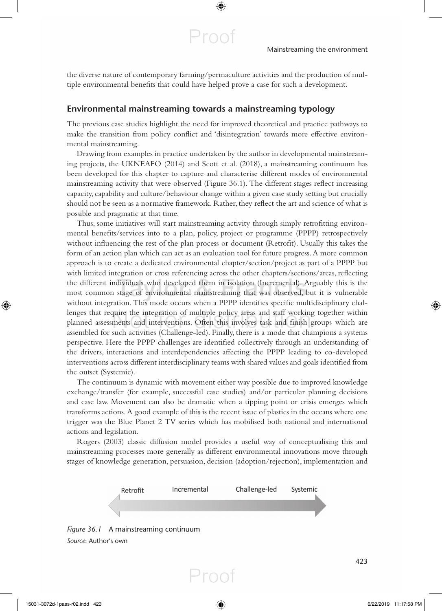the diverse nature of contemporary farming/permaculture activities and the production of multiple environmental benefits that could have helped prove a case for such a development.

Proof

⊕

#### **Environmental mainstreaming towards a mainstreaming typology**

 The previous case studies highlight the need for improved theoretical and practice pathways to make the transition from policy conflict and 'disintegration' towards more effective environmental mainstreaming.

 Drawing from examples in practice undertaken by the author in developmental mainstreaming projects, the UKNEAFO (2014) and Scott et al. (2018), a mainstreaming continuum has been developed for this chapter to capture and characterise different modes of environmental mainstreaming activity that were observed (Figure 36.1). The different stages reflect increasing capacity, capability and culture/behaviour change within a given case study setting but crucially should not be seen as a normative framework. Rather, they reflect the art and science of what is possible and pragmatic at that time.

Thus, some initiatives will start mainstreaming activity through simply retrofitting environmental benefits/services into to a plan, policy, project or programme (PPPP) retrospectively without influencing the rest of the plan process or document (Retrofit). Usually this takes the form of an action plan which can act as an evaluation tool for future progress. A more common approach is to create a dedicated environmental chapter/section/project as part of a PPPP but with limited integration or cross referencing across the other chapters/sections/areas, reflecting the different individuals who developed them in isolation (Incremental). Arguably this is the most common stage of environmental mainstreaming that was observed, but it is vulnerable without integration. This mode occurs when a PPPP identifies specific multidisciplinary challenges that require the integration of multiple policy areas and staff working together within planned assessments and interventions. Often this involves task and finish groups which are assembled for such activities (Challenge-led). Finally, there is a mode that champions a systems perspective. Here the PPPP challenges are identified collectively through an understanding of the drivers, interactions and interdependencies affecting the PPPP leading to co-developed interventions across different interdisciplinary teams with shared values and goals identified from the outset (Systemic).

 The continuum is dynamic with movement either way possible due to improved knowledge exchange/transfer (for example, successful case studies) and/or particular planning decisions and case law. Movement can also be dramatic when a tipping point or crisis emerges which transforms actions. A good example of this is the recent issue of plastics in the oceans where one trigger was the Blue Planet 2 TV series which has mobilised both national and international actions and legislation.

Rogers (2003) classic diffusion model provides a useful way of conceptualising this and mainstreaming processes more generally as different environmental innovations move through stages of knowledge generation, persuasion, decision (adoption/rejection), implementation and



Proot



⊕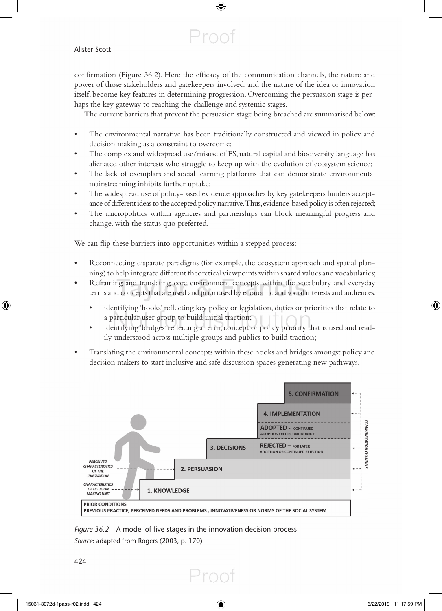⊕

#### Alister Scott

confirmation (Figure 36.2). Here the efficacy of the communication channels, the nature and power of those stakeholders and gatekeepers involved, and the nature of the idea or innovation itself, become key features in determining progression. Overcoming the persuasion stage is perhaps the key gateway to reaching the challenge and systemic stages.

The current barriers that prevent the persuasion stage being breached are summarised below:

- The environmental narrative has been traditionally constructed and viewed in policy and decision making as a constraint to overcome;
- The complex and widespread use/misuse of ES, natural capital and biodiversity language has alienated other interests who struggle to keep up with the evolution of ecosystem science;
- The lack of exemplars and social learning platforms that can demonstrate environmental mainstreaming inhibits further uptake;
- The widespread use of policy-based evidence approaches by key gatekeepers hinders acceptance of different ideas to the accepted policy narrative. Thus, evidence-based policy is often rejected;
- The micropolitics within agencies and partnerships can block meaningful progress and change, with the status quo preferred.

We can flip these barriers into opportunities within a stepped process:

- Reconnecting disparate paradigms (for example, the ecosystem approach and spatial planning) to help integrate different theoretical viewpoints within shared values and vocabularies;
- Reframing and translating core environment concepts within the vocabulary and everyday terms and concepts that are used and prioritised by economic and social interests and audiences:
	- identifying 'hooks' reflecting key policy or legislation, duties or priorities that relate to a particular user group to build initial traction;
	- identifying 'bridges' reflecting a term, concept or policy priority that is used and readily understood across multiple groups and publics to build traction;
- Translating the environmental concepts within these hooks and bridges amongst policy and decision makers to start inclusive and safe discussion spaces generating new pathways.



*Figure 36.2* A model of five stages in the innovation decision process Source: adapted from Rogers (2003, p. 170)

424

⊕

↔

Prooi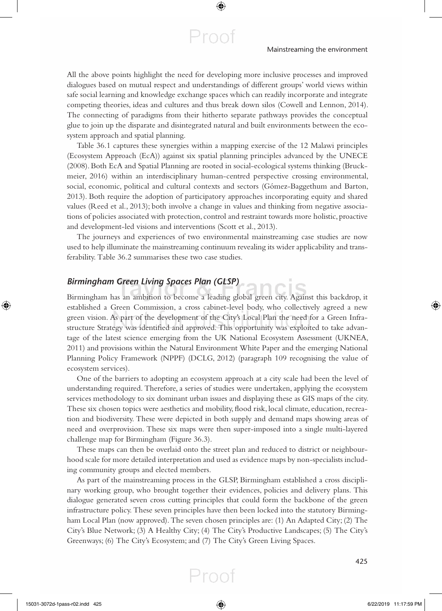#### Mainstreaming the environment

 All the above points highlight the need for developing more inclusive processes and improved dialogues based on mutual respect and understandings of different groups' world views within safe social learning and knowledge exchange spaces which can readily incorporate and integrate competing theories, ideas and cultures and thus break down silos (Cowell and Lennon, 2014). The connecting of paradigms from their hitherto separate pathways provides the conceptual glue to join up the disparate and disintegrated natural and built environments between the ecosystem approach and spatial planning.

⊕

Proof

 Table 36.1 captures these synergies within a mapping exercise of the 12 Malawi principles (Ecosystem Approach (EcA)) against six spatial planning principles advanced by the UNECE (2008). Both EcA and Spatial Planning are rooted in social-ecological systems thinking (Bruckmeier, 2016) within an interdisciplinary human-centred perspective crossing environmental, social, economic, political and cultural contexts and sectors ( Gómez-Baggethum and Barton, 2013 ). Both require the adoption of participatory approaches incorporating equity and shared values (Reed et al., 2013); both involve a change in values and thinking from negative associations of policies associated with protection, control and restraint towards more holistic, proactive and development-led visions and interventions (Scott et al., 2013).

 The journeys and experiences of two environmental mainstreaming case studies are now used to help illuminate the mainstreaming continuum revealing its wider applicability and transferability. Table 36.2 summarises these two case studies.

#### *Birmingham Green Living Spaces Plan (GLSP)*

 Birmingham has an ambition to become a leading global green city. Against this backdrop, it established a Green Commission, a cross cabinet-level body, who collectively agreed a new green vision. As part of the development of the City's Local Plan the need for a Green Infrastructure Strategy was identified and approved. This opportunity was exploited to take advantage of the latest science emerging from the UK National Ecosystem Assessment ( UKNEA, 2011 ) and provisions within the Natural Environment White Paper and the emerging National Planning Policy Framework (NPPF) (DCLG, 2012) (paragraph 109 recognising the value of ecosystem services).

 One of the barriers to adopting an ecosystem approach at a city scale had been the level of understanding required. Therefore, a series of studies were undertaken, applying the ecosystem services methodology to six dominant urban issues and displaying these as GIS maps of the city. These six chosen topics were aesthetics and mobility, flood risk, local climate, education, recreation and biodiversity. These were depicted in both supply and demand maps showing areas of need and overprovision. These six maps were then super-imposed into a single multi-layered challenge map for Birmingham (Figure 36.3).

 These maps can then be overlaid onto the street plan and reduced to district or neighbourhood scale for more detailed interpretation and used as evidence maps by non-specialists including community groups and elected members.

 As part of the mainstreaming process in the GLSP, Birmingham established a cross disciplinary working group, who brought together their evidences, policies and delivery plans. This dialogue generated seven cross cutting principles that could form the backbone of the green infrastructure policy. These seven principles have then been locked into the statutory Birmingham Local Plan (now approved). The seven chosen principles are: (1) An Adapted City; (2) The City's Blue Network; (3) A Healthy City; (4) The City's Productive Landscapes; (5) The City's Greenways; (6) The City's Ecosystem; and (7) The City's Green Living Spaces.



↔

↔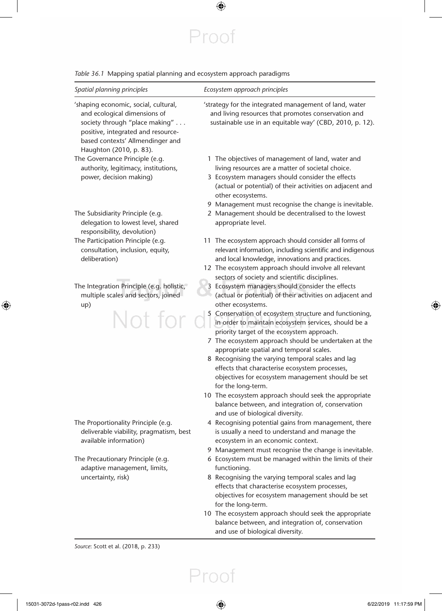$\bigoplus$ 

| Spatial planning principles                                                                                                                                                                                 | Ecosystem approach principles                                                                                                                                                                                                                |
|-------------------------------------------------------------------------------------------------------------------------------------------------------------------------------------------------------------|----------------------------------------------------------------------------------------------------------------------------------------------------------------------------------------------------------------------------------------------|
| 'shaping economic, social, cultural,<br>and ecological dimensions of<br>society through "place making"<br>positive, integrated and resource-<br>based contexts' Allmendinger and<br>Haughton (2010, p. 83). | 'strategy for the integrated management of land, water<br>and living resources that promotes conservation and<br>sustainable use in an equitable way' (CBD, 2010, p. 12).                                                                    |
| The Governance Principle (e.g.<br>authority, legitimacy, institutions,<br>power, decision making)                                                                                                           | 1 The objectives of management of land, water and<br>living resources are a matter of societal choice.<br>3 Ecosystem managers should consider the effects<br>(actual or potential) of their activities on adjacent and<br>other ecosystems. |
| The Subsidiarity Principle (e.g.<br>delegation to lowest level, shared<br>responsibility, devolution)                                                                                                       | 9 Management must recognise the change is inevitable.<br>2 Management should be decentralised to the lowest<br>appropriate level.                                                                                                            |
| The Participation Principle (e.g.<br>consultation, inclusion, equity,<br>deliberation)                                                                                                                      | 11 The ecosystem approach should consider all forms of<br>relevant information, including scientific and indigenous<br>and local knowledge, innovations and practices.<br>12 The ecosystem approach should involve all relevant              |
| The Integration Principle (e.g. holistic,<br>multiple scales and sectors, joined<br>up)                                                                                                                     | sectors of society and scientific disciplines.<br>3 Ecosystem managers should consider the effects<br>(actual or potential) of their activities on adjacent and<br>other ecosystems.                                                         |
| Not for                                                                                                                                                                                                     | 5 Conservation of ecosystem structure and functioning,<br>in order to maintain ecosystem services, should be a<br>priority target of the ecosystem approach.<br>7 The ecosystem approach should be undertaken at the                         |
|                                                                                                                                                                                                             | appropriate spatial and temporal scales.<br>8 Recognising the varying temporal scales and lag<br>effects that characterise ecosystem processes,<br>objectives for ecosystem management should be set<br>for the long-term.                   |
|                                                                                                                                                                                                             | 10 The ecosystem approach should seek the appropriate<br>balance between, and integration of, conservation<br>and use of biological diversity.                                                                                               |
| The Proportionality Principle (e.g.<br>deliverable viability, pragmatism, best<br>available information)                                                                                                    | 4 Recognising potential gains from management, there<br>is usually a need to understand and manage the<br>ecosystem in an economic context.<br>9 Management must recognise the change is inevitable.                                         |
| The Precautionary Principle (e.g.<br>adaptive management, limits,                                                                                                                                           | 6 Ecosystem must be managed within the limits of their<br>functioning.                                                                                                                                                                       |
| uncertainty, risk)                                                                                                                                                                                          | 8 Recognising the varying temporal scales and lag<br>effects that characterise ecosystem processes,<br>objectives for ecosystem management should be set<br>for the long-term.                                                               |
|                                                                                                                                                                                                             | 10 The ecosystem approach should seek the appropriate<br>balance between, and integration of, conservation<br>and use of biological diversity.                                                                                               |

*Table 36.1* Mapping spatial planning and ecosystem approach paradigms

*Source*: Scott et al. (2018, p. 233)

 $\bigoplus$ 

Proof

 $\bigoplus$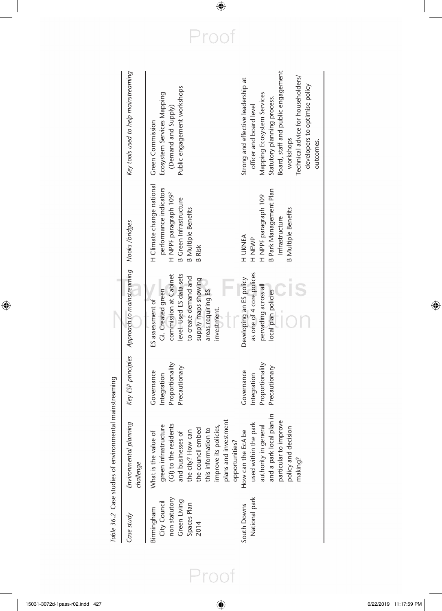|  | تحمدت المستحد ومحمد الصناعة والمستحد ومنتجات ومحاملته والمراجع والمحمد |
|--|------------------------------------------------------------------------|
|  |                                                                        |
|  |                                                                        |
|  |                                                                        |
|  |                                                                        |
|  |                                                                        |

|               | Table 36.2 Case studies of environmental mainstreaming |                 |                                                             |                                   |                                      |
|---------------|--------------------------------------------------------|-----------------|-------------------------------------------------------------|-----------------------------------|--------------------------------------|
| Case study    | Environmental planning<br>challenge                    |                 | Key ESP principles Approach to mainstreaming Hooks /bridges |                                   | Key tools used to help mainstreaming |
| Birmingham    | What is the value of                                   | Governance      | ES assessment of                                            | H Climate change national         | <b>Green Commission</b>              |
| City Council  | green infrastructure                                   | Integration     | <b>GI.</b> Created green                                    | performance indicators            | Ecosystem Services Mapping           |
| non statutory | (GI) to the residents                                  | Proportionality | commission at Cabinet                                       | H NPPF paragraph 109 <sup>2</sup> | (Demand and Supply)                  |
| Green Living  | and businesses of                                      | Precautionary   | level. Used ES data sets                                    | <b>B</b> Green Infrastructure     | Public engagement workshops          |
| Spaces Plan   | the city? How can                                      |                 | to create demand and                                        | <b>B Multiple Benefits</b>        |                                      |
| 2014          | the council embed                                      |                 | supply maps showing                                         | <b>B</b> Risk                     |                                      |
|               | this information to                                    |                 | areas requiring ES                                          |                                   |                                      |
|               | improve its policies,                                  |                 | investment.                                                 |                                   |                                      |
|               | plans and investment                                   |                 |                                                             |                                   |                                      |
|               | opportunities?                                         |                 |                                                             |                                   |                                      |
| South Downs   | How can the EcA be                                     | Governance      | Developing an ES policy                                     | H UKNEA                           | Strong and effective leadership at   |
| National park | used within the park                                   | Integration     | as one of 4 core polices                                    | H NEWP                            | officer and board level              |
|               | authority in general                                   | Proportionality | pervading across all                                        | H NPPF paragraph 109              | Mapping Ecosystem Services           |
|               | and a park local plan in                               | Precautionary   | local plan policies                                         | B Park Management Plan            | Statutory planning process.          |
|               | particular to improve                                  |                 |                                                             | Infrastructure                    | Board, staff and public engagement   |
|               | policy and decision                                    |                 |                                                             | <b>B Multiple Benefits</b>        | workshops                            |
|               | making?                                                |                 |                                                             |                                   | Technical advice for householders/   |
|               |                                                        |                 |                                                             |                                   | developers to optimise policy        |
|               |                                                        |                 |                                                             |                                   | outcomes.                            |

 $\bigoplus$ 

 $\bigoplus$ 

 $\bigoplus$ 

Proof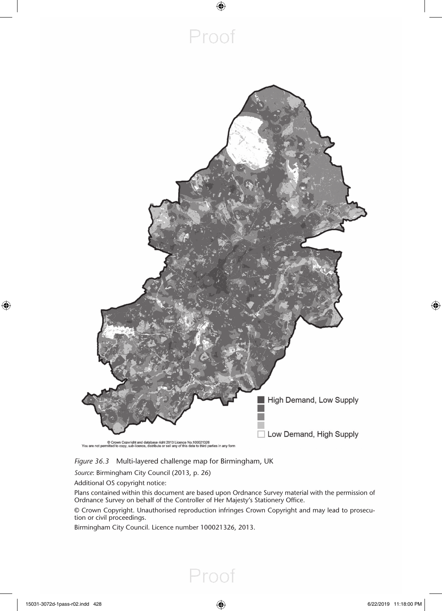

*Figure 36.3* Multi-layered challenge map for Birmingham, UK

Source: Birmingham City Council (2013, p. 26)

Additional OS copyright notice:

 Plans contained within this document are based upon Ordnance Survey material with the permission of Ordnance Survey on behalf of the Controller of Her Majesty's Stationery Office.

 © Crown Copyright. Unauthorised reproduction infringes Crown Copyright and may lead to prosecution or civil proceedings.

Birmingham City Council. Licence number 100021326, 2013.

 $\bigoplus$ 

 $\bigoplus$ 

Proof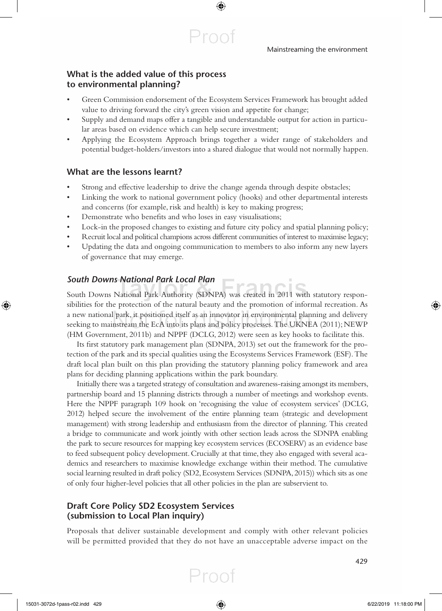#### **What is the added value of this process to environmental planning?**

 • Green Commission endorsement of the Ecosystem Services Framework has brought added value to driving forward the city's green vision and appetite for change;

⊕

Proof

- Supply and demand maps offer a tangible and understandable output for action in particular areas based on evidence which can help secure investment;
- Applying the Ecosystem Approach brings together a wider range of stakeholders and potential budget-holders/investors into a shared dialogue that would not normally happen.

#### **What are the lessons learnt?**

- Strong and effective leadership to drive the change agenda through despite obstacles;
- Linking the work to national government policy (hooks) and other departmental interests and concerns (for example, risk and health) is key to making progress;
- Demonstrate who benefits and who loses in easy visualisations;
- Lock-in the proposed changes to existing and future city policy and spatial planning policy;
- Recruit local and political champions across different communities of interest to maximise legacy;
- Updating the data and ongoing communication to members to also inform any new layers of governance that may emerge.

#### *South Downs National Park Local Plan*

South Downs National Park Authority (SDNPA) was created in 2011 with statutory responsibilities for the protection of the natural beauty and the promotion of informal recreation. As a new national park, it positioned itself as an innovator in environmental planning and delivery seeking to mainstream the EcA into its plans and policy processes. The UKNEA (2011 ); NEWP (HM Government, 2011b) and NPPF (DCLG, 2012) were seen as key hooks to facilitate this.

Its first statutory park management plan (SDNPA, 2013) set out the framework for the protection of the park and its special qualities using the Ecosystems Services Framework (ESF). The draft local plan built on this plan providing the statutory planning policy framework and area plans for deciding planning applications within the park boundary.

 Initially there was a targeted strategy of consultation and awareness-raising amongst its members, partnership board and 15 planning districts through a number of meetings and workshop events. Here the NPPF paragraph 109 hook on 'recognising the value of ecosystem services' (DCLG, 2012 ) helped secure the involvement of the entire planning team (strategic and development management) with strong leadership and enthusiasm from the director of planning. This created a bridge to communicate and work jointly with other section leads across the SDNPA enabling the park to secure resources for mapping key ecosystem services (ECOSERV) as an evidence base to feed subsequent policy development. Crucially at that time, they also engaged with several academics and researchers to maximise knowledge exchange within their method. The cumulative social learning resulted in draft policy (SD2, Ecosystem Services (SDNPA, 2015)) which sits as one of only four higher-level policies that all other policies in the plan are subservient to.

#### **Draft Core Policy SD2 Ecosystem Services (submission to Local Plan inquiry)**

 Proposals that deliver sustainable development and comply with other relevant policies will be permitted provided that they do not have an unacceptable adverse impact on the

Proot



↔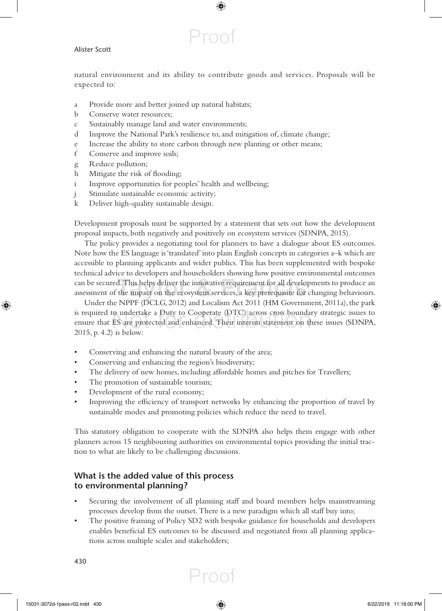$\bigoplus$ 

#### Alister Scott

natural environment and its ability to contribute goods and services. Proposals will be expected to:

- a Provide more and better joined up natural habitats;
- b Conserve water resources;
- c Sustainably manage land and water environments;
- d Improve the National Park's resilience to, and mitigation of, climate change;
- e Increase the ability to store carbon through new planting or other means;
- f Conserve and improve soils;
- g Reduce pollution;
- h Mitigate the risk of flooding;
- i Improve opportunities for peoples' health and wellbeing;
- j Stimulate sustainable economic activity;
- k Deliver high-quality sustainable design.

 Development proposals must be supported by a statement that sets out how the development proposal impacts, both negatively and positively on ecosystem services (SDNPA, 2015).

 The policy provides a negotiating tool for planners to have a dialogue about ES outcomes. Note how the ES language is 'translated' into plain English concepts in categories a–k which are accessible to planning applicants and wider publics. This has been supplemented with bespoke technical advice to developers and householders showing how positive environmental outcomes can be secured. This helps deliver the innovative requirement for all developments to produce an assessment of the impact on the ecosystem services, a key prerequisite for changing behaviours.

Under the NPPF (DCLG, 2012) and Localism Act 2011 (HM Government, 2011a), the park is required to undertake a Duty to Cooperate (DTC) across cross boundary strategic issues to ensure that ES are protected and enhanced. Their interim statement on these issues ( SDNPA, 2015 , p. 4.2) is below:

- Conserving and enhancing the natural beauty of the area;
- Conserving and enhancing the region's biodiversity;
- The delivery of new homes, including affordable homes and pitches for Travellers;
- The promotion of sustainable tourism;
- Development of the rural economy;
- Improving the efficiency of transport networks by enhancing the proportion of travel by sustainable modes and promoting policies which reduce the need to travel.

 This statutory obligation to cooperate with the SDNPA also helps them engage with other planners across 15 neighbouring authorities on environmental topics providing the initial traction to what are likely to be challenging discussions.

#### **What is the added value of this process to environmental planning?**

- Securing the involvement of all planning staff and board members helps mainstreaming processes develop from the outset. There is a new paradigm which all staff buy into;
- The positive framing of Policy SD2 with bespoke guidance for households and developers enables beneficial ES outcomes to be discussed and negotiated from all planning applications across multiple scales and stakeholders;

430

⊕

 $\leftrightarrow$ 



Proof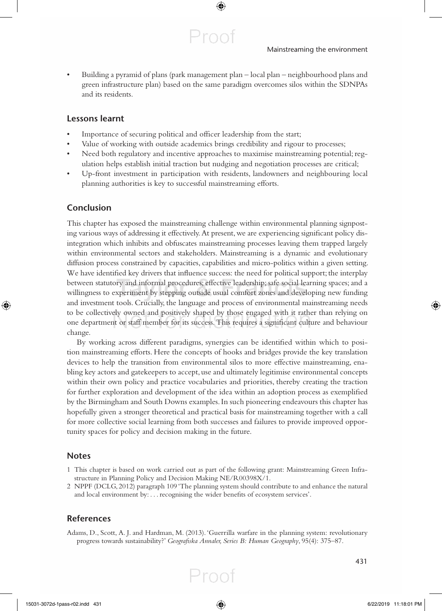• Building a pyramid of plans (park management plan – local plan – neighbourhood plans and green infrastructure plan) based on the same paradigm overcomes silos within the SDNPAs and its residents.

⊕

Proof

#### **Lessons learnt**

- Importance of securing political and officer leadership from the start:
- Value of working with outside academics brings credibility and rigour to processes;
- Need both regulatory and incentive approaches to maximise mainstreaming potential; regulation helps establish initial traction but nudging and negotiation processes are critical;
- Up-front investment in participation with residents, landowners and neighbouring local planning authorities is key to successful mainstreaming efforts.

#### **Conclusion**

⊕

 This chapter has exposed the mainstreaming challenge within environmental planning signposting various ways of addressing it effectively. At present, we are experiencing significant policy disintegration which inhibits and obfuscates mainstreaming processes leaving them trapped largely within environmental sectors and stakeholders. Mainstreaming is a dynamic and evolutionary diffusion process constrained by capacities, capabilities and micro-politics within a given setting. We have identified key drivers that influence success: the need for political support; the interplay between statutory and informal procedures; effective leadership; safe social learning spaces; and a willingness to experiment by stepping outside usual comfort zones and developing new funding and investment tools. Crucially, the language and process of environmental mainstreaming needs to be collectively owned and positively shaped by those engaged with it rather than relying on one department or staff member for its success. This requires a signifi cant culture and behaviour change.

By working across different paradigms, synergies can be identified within which to position mainstreaming efforts. Here the concepts of hooks and bridges provide the key translation devices to help the transition from environmental silos to more effective mainstreaming, enabling key actors and gatekeepers to accept, use and ultimately legitimise environmental concepts within their own policy and practice vocabularies and priorities, thereby creating the traction for further exploration and development of the idea within an adoption process as exemplified by the Birmingham and South Downs examples. In such pioneering endeavours this chapter has hopefully given a stronger theoretical and practical basis for mainstreaming together with a call for more collective social learning from both successes and failures to provide improved opportunity spaces for policy and decision making in the future.

#### **Notes**

- 1 This chapter is based on work carried out as part of the following grant: Mainstreaming Green Infrastructure in Planning Policy and Decision Making NE/R00398X/1.
- 2 NPPF (DCLG, 2012) paragraph 109 'The planning system should contribute to and enhance the natural and local environment by: . . . recognising the wider benefits of ecosystem services'.

#### **References**

 Adams, D., Scott, A. J. and Hardman, M. (2013). 'Guerrilla warfare in the planning system: revolutionary progress towards sustainability?' *Geografiska Annaler, Series B: Human Geography*, 95(4): 375–87.

Proof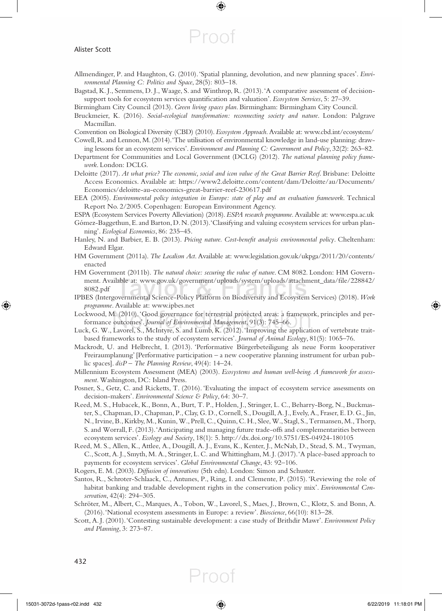⊕

#### Alister Scott

- Allmendinger, P. and Haughton, G. (2010). 'Spatial planning, devolution, and new planning spaces'. *Environmental Planning C: Politics and Space*, 28(5): 803–18.
- Bagstad, K. J., Semmens, D. J., Waage, S. and Winthrop, R. (2013). 'A comparative assessment of decisionsupport tools for ecosystem services quantification and valuation'. *Ecosystem Services*, 5: 27–39.

Birmingham City Council (2013). *Green living spaces plan* . Birmingham: Birmingham City Council.

 Bruckmeier, K. (2016). *Social-ecological transformation: reconnecting society and nature* . London: Palgrave Macmillan.

Convention on Biological Diversity (CBD) (2010). *Ecosystem Approach* . Available at: www.cbd.int/ecosystem/

- Cowell, R. and Lennon, M. (2014). 'The utilisation of environmental knowledge in land-use planning: drawing lessons for an ecosystem services'. *Environment and Planning C: Government and Policy* , 32(2): 263–82.
- Department for Communities and Local Government (DCLG) (2012). *The national planning policy framework* . London: DCLG.
- Deloitte (2017). *At what price? The economic, social and icon value of the Great Barrier Reef* . Brisbane: Deloitte Access Economics. Available at: https://www2.deloitte.com/content/dam/Deloitte/au/Documents/ Economics/deloitte-au-economics-great-barrier-reef-230617.pdf
- EEA (2005). *Environmental policy integration in Europe: state of play and an evaluation framework* . Technical Report No. 2/2005. Copenhagen: European Environment Agency.
- ESPA (Ecosystem Services Poverty Alleviation) (2018). *ESPA research programme* . Available at: www.espa.ac.uk
- Gómez-Baggethun, E. and Barton, D. N. (2013). 'Classifying and valuing ecosystem services for urban planning'. *Ecological Economics* , 86: 235–45.
- Hanley, N. and Barbier, E. B. (2013). *Pricing nature. Cost-benefit analysis environmental policy*. Cheltenham: Edward Elgar.
- HM Government (2011a). *The Localism Act* . Available at: www.legislation.gov.uk/ukpga/2011/20/contents/ enacted
- HM Government (2011b). *The natural choice: securing the value of nature* . CM 8082. London: HM Government. Available at: www.gov.uk/government/uploads/system/uploads/attachment\_data/file/228842/ 8082.pdf
- IPBES (Intergovernmental Science-Policy Platform on Biodiversity and Ecosystem Services) (2018). *Work programme* . Available at: www.ipbes.net
- Lockwood, M. (2010). 'Good governance for terrestrial protected areas: a framework, principles and performance outcomes'. *Journal of Environmental Management* , 91(3): 745–66.
- Luck, G. W., Lavorel, S., McIntyre, S. and Lumb, K. (2012). 'Improving the application of vertebrate traitbased frameworks to the study of ecosystem services' *. Journal of Animal Ecology* , 81(5): 1065–76.
- Mackrodt, U. and Helbrecht, I. (2013). 'Performative Bürgerbeteiligung als neue Form kooperativer Freiraumplanung' [Performative participation – a new cooperative planning instrument for urban public spaces]. *disP – The Planning Review* , 49(4): 14–24.
- Millennium Ecosystem Assessment (MEA) (2003). *Ecosystems and human well-being. A framework for assessment* . Washington, DC: Island Press.
- Posner, S., Getz, C. and Ricketts, T. (2016). 'Evaluating the impact of ecosystem service assessments on decision-makers'. *Environmental Science & Policy* , 64: 30–7.
- Reed, M. S., Hubacek, K., Bonn, A., Burt, T. P., Holden, J., Stringer, L. C., Beharry-Borg, N., Buckmaster, S., Chapman, D., Chapman, P., Clay, G. D., Cornell, S., Dougill, A. J., Evely, A., Fraser, E. D. G., Jin, N., Irvine, B., Kirkby, M., Kunin, W., Prell, C., Quinn, C. H., Slee, W., Stagl, S., Termansen, M., Thorp, S. and Worrall, F. (2013). 'Anticipating and managing future trade-offs and complementarities between ecosystem services'. *Ecology and Society* , 18(1): 5. http://dx.doi.org/10.5751/ES-04924-180105
- Reed, M. S., Allen, K., Attlee, A., Dougill, A. J., Evans, K., Kenter, J., McNab, D., Stead, S. M., Twyman, C., Scott, A. J., Smyth, M. A., Stringer, L. C. and Whittingham, M. J. (2017). 'A place-based approach to payments for ecosystem services'. *Global Environmental Change* , 43: 92–106.
- Rogers, E. M. (2003). *Diffusion of innovations* (5th edn). London: Simon and Schuster.
- Santos, R., Schroter-Schlaack, C., Antunes, P., Ring, I. and Clemente, P. (2015). 'Reviewing the role of habitat banking and tradable development rights in the conservation policy mix'. *Environmental Conservation* , 42(4): 294–305.
- Schröter, M., Albert, C., Marques, A., Tobon, W., Lavorel, S., Maes, J., Brown, C., Klotz, S. and Bonn, A. (2016). 'National ecosystem assessments in Europe: a review'. *Bioscience* , 66(10): 813–28.
- Scott, A. J. (2001). 'Contesting sustainable development: a case study of Brithdir Mawr'. *Environment Policy*  and Planning, 3: 273-87.

432

↔

↔

Proot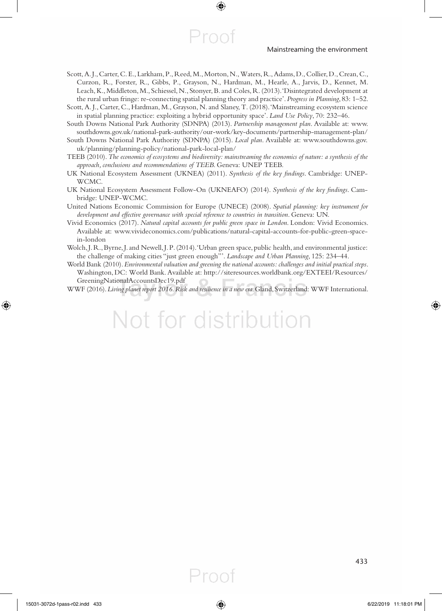#### Mainstreaming the environment

 Scott, A. J., Carter, C. E., Larkham, P., Reed, M., Morton, N., Waters, R., Adams, D., Collier, D., Crean, C., Curzon, R., Forster, R., Gibbs, P., Grayson, N., Hardman, M., Hearle, A., Jarvis, D., Kennet, M. Leach, K., Middleton, M., Schiessel, N., Stonyer, B. and Coles, R. (2013). 'Disintegrated development at the rural urban fringe: re-connecting spatial planning theory and practice'. *Progress in Planning* , 83: 1–52.

⊕

Proof

 Scott, A. J., Carter, C., Hardman, M., Grayson, N. and Slaney, T. (2018). 'Mainstreaming ecosystem science in spatial planning practice: exploiting a hybrid opportunity space'. *Land Use Policy* , 70: 232–46.

 South Downs National Park Authority (SDNPA) (2013). *Partnership management plan* . Available at: www. southdowns.gov.uk/national-park-authority/our-work/key-documents/partnership-management-plan/

- South Downs National Park Authority (SDNPA) (2015). *Local plan* . Available at: www.southdowns.gov. uk/planning/planning-policy/national-park-local-plan/
- TEEB (2010). *The economics of ecosystems and biodiversity: mainstreaming the economics of nature: a synthesis of the approach, conclusions and recommendations of TEEB* . Geneva: UNEP TEEB.
- UK National Ecosystem Assessment (UKNEA) (2011). *Synthesis of the key findings*. Cambridge: UNEP-WCMC.
- UK National Ecosystem Assessment Follow-On (UKNEAFO) (2014). Synthesis of the key findings. Cambridge: UNEP-WCMC.
- United Nations Economic Commission for Europe (UNECE) (2008). *Spatial planning: key instrument for development and effective governance with special reference to countries in transition* . Geneva: UN.
- Vivid Economics (2017). *Natural capital accounts for public green space in London* . London: Vivid Economics. Available at: www.vivideconomics.com/publications/natural-capital-accounts-for-public-green-spacein-london
- Wolch, J. R., Byrne, J. and Newell, J. P. (2014). 'Urban green space, public health, and environmental justice: the challenge of making cities "just green enough"'. *Landscape and Urban Planning*, 125: 234-44.
- World Bank (2010). *Environmental valuation and greening the national accounts: challenges and initial practical steps* . Washington, DC: World Bank. Available at: http://siteresources.worldbank.org/EXTEEI/Resources/ GreeningNationalAccountsDec19.pdf
- WWF (2016). *Living planet report 2016. Risk and resilience in a new era* . Gland, Switzerland: WWF International.

## Not for distribution

⊕

⊕